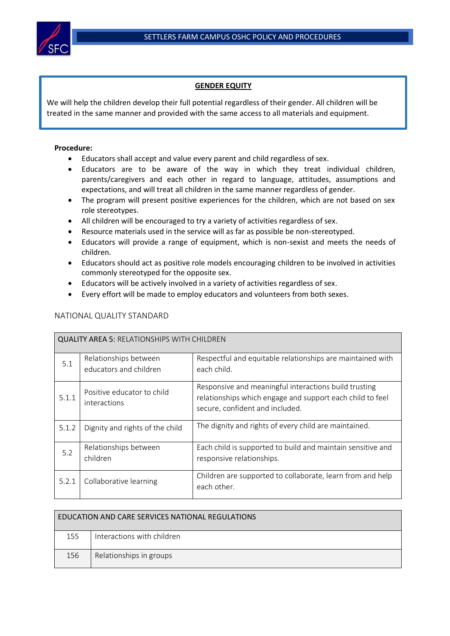## **GENDER EQUITY**

We will help the children develop their full potential regardless of their gender. All children will be treated in the same manner and provided with the same access to all materials and equipment.

## **Procedure:**

- Educators shall accept and value every parent and child regardless of sex.
- Educators are to be aware of the way in which they treat individual children, parents/caregivers and each other in regard to language, attitudes, assumptions and expectations, and will treat all children in the same manner regardless of gender.
- The program will present positive experiences for the children, which are not based on sex role stereotypes.
- All children will be encouraged to try a variety of activities regardless of sex.
- Resource materials used in the service will as far as possible be non-stereotyped.
- Educators will provide a range of equipment, which is non-sexist and meets the needs of children.
- Educators should act as positive role models encouraging children to be involved in activities commonly stereotyped for the opposite sex.
- Educators will be actively involved in a variety of activities regardless of sex.
- Every effort will be made to employ educators and volunteers from both sexes.

| <b>QUALITY AREA 5: RELATIONSHIPS WITH CHILDREN</b> |                                                 |                                                                                                                                                       |  |  |
|----------------------------------------------------|-------------------------------------------------|-------------------------------------------------------------------------------------------------------------------------------------------------------|--|--|
| 5.1                                                | Relationships between<br>educators and children | Respectful and equitable relationships are maintained with<br>each child.                                                                             |  |  |
| 5.1.1                                              | Positive educator to child<br>interactions      | Responsive and meaningful interactions build trusting<br>relationships which engage and support each child to feel<br>secure, confident and included. |  |  |
| 5.1.2                                              | Dignity and rights of the child                 | The dignity and rights of every child are maintained.                                                                                                 |  |  |
| 5.2                                                | Relationships between<br>children               | Each child is supported to build and maintain sensitive and<br>responsive relationships.                                                              |  |  |
| 5.2.1                                              | Collaborative learning                          | Children are supported to collaborate, learn from and help<br>each other.                                                                             |  |  |

## NATIONAL QUALITY STANDARD

| EDUCATION AND CARE SERVICES NATIONAL REGULATIONS |                            |  |  |
|--------------------------------------------------|----------------------------|--|--|
| 155                                              | Interactions with children |  |  |
| 156                                              | Relationships in groups    |  |  |